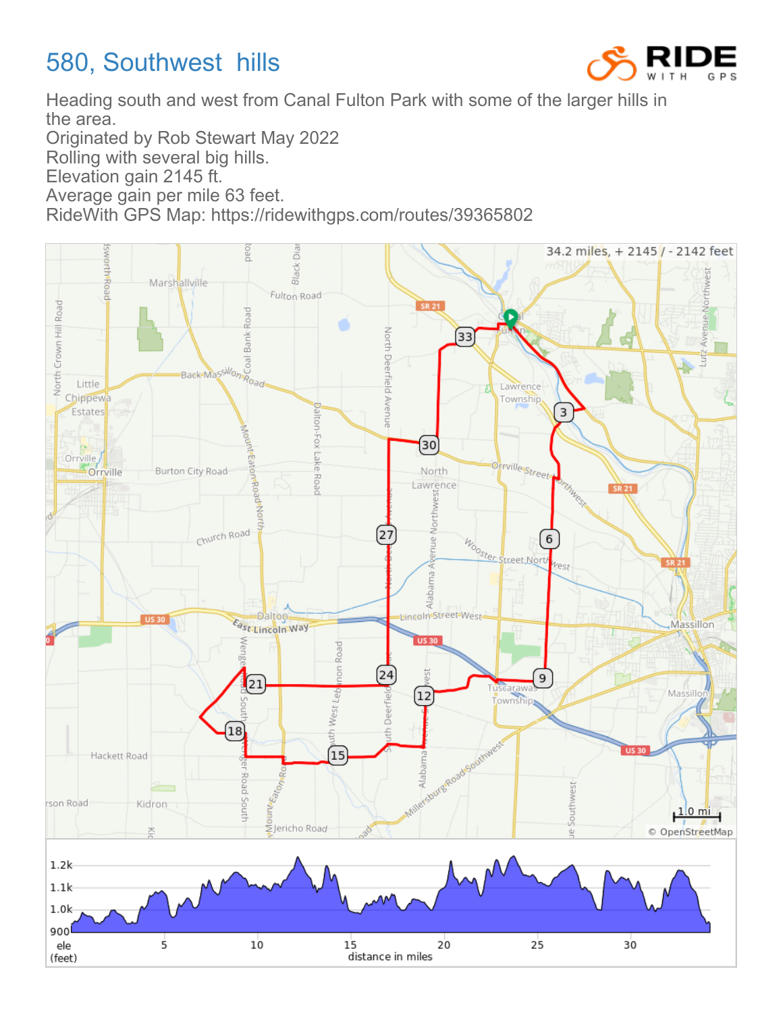## 580, Southwest hills



Heading south and west from Canal Fulton Park with some of the larger hills in the area.

Originated by Rob Stewart May 2022

Rolling with several big hills.

Elevation gain 2145 ft.

Average gain per mile 63 feet.

RideWith GPS Map: https://ridewithgps.com/routes/39365802